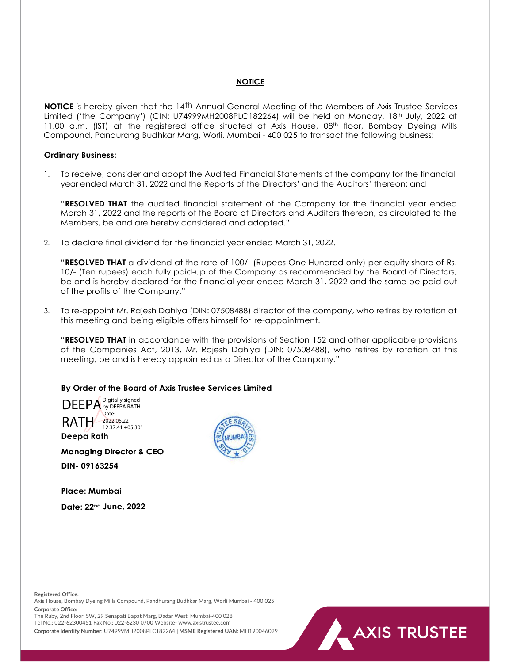# **NOTICE**

**NOTICE** is hereby given that the 14<sup>th</sup> Annual General Meeting of the Members of Axis Trustee Services Limited ('the Company') (CIN: U74999MH2008PLC182264) will be held on Monday, 18th July, 2022 at 11.00 a.m. (IST) at the registered office situated at Axis House, 08<sup>th</sup> floor, Bombay Dyeing Mills Compound, Pandurang Budhkar Marg, Worli, Mumbai - 400 025 to transact the following business:

#### Ordinary Business:

1. To receive, consider and adopt the Audited Financial Statements of the company for the financial year ended March 31, 2022 and the Reports of the Directors' and the Auditors' thereon; and

"RESOLVED THAT the audited financial statement of the Company for the financial year ended March 31, 2022 and the reports of the Board of Directors and Auditors thereon, as circulated to the Members, be and are hereby considered and adopted."

2. To declare final dividend for the financial year ended March 31, 2022.

"RESOLVED THAT a dividend at the rate of 100/- (Rupees One Hundred only) per equity share of Rs. 10/- (Ten rupees) each fully paid-up of the Company as recommended by the Board of Directors, be and is hereby declared for the financial year ended March 31, 2022 and the same be paid out of the profits of the Company."

3. To re-appoint Mr. Rajesh Dahiya (DIN: 07508488) director of the company, who retires by rotation at this meeting and being eligible offers himself for re-appointment.

"RESOLVED THAT in accordance with the provisions of Section 152 and other applicable provisions of the Companies Act, 2013, Mr. Rajesh Dahiya (DIN: 07508488), who retires by rotation at this meeting, be and is hereby appointed as a Director of the Company."

### By Order of the Board of Axis Trustee Services Limited



Deepa Rath

Managing Director & CEO

DIN- 09163254

Place: Mumbai

Date: 22nd June, 2022



Registered Office:

Axis House, Bombay Dyeing Mills Compound, Pandhurang Budhkar Marg, Worli Mumbai - 400 025 Corporate Office:

The Ruby, 2nd Floor, SW, 29 Senapati Bapat Marg, Dadar West, Mumbai-400 028 Tel No.: 022-62300451 Fax No.: 022-6230 0700 Website- www.axistrustee.com

Corporate Identify Number: U74999MH2008PLC182264 | MSME Registered UAN: MH190046029

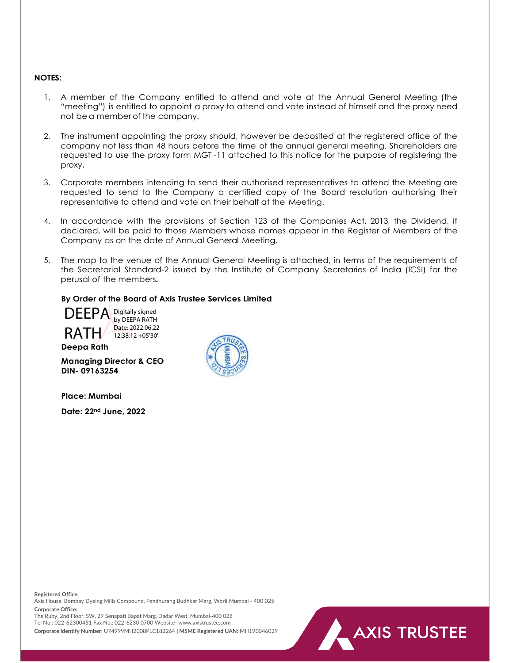#### NOTES:

- 1. A member of the Company entitled to attend and vote at the Annual General Meeting (the "meeting") is entitled to appoint a proxy to attend and vote instead of himself and the proxy need not be a member of the company.
- 2. The instrument appointing the proxy should, however be deposited at the registered office of the company not less than 48 hours before the time of the annual general meeting. Shareholders are requested to use the proxy form MGT -11 attached to this notice for the purpose of registering the proxy.
- 3. Corporate members intending to send their authorised representatives to attend the Meeting are requested to send to the Company a certified copy of the Board resolution authorising their representative to attend and vote on their behalf at the Meeting.
- 4. In accordance with the provisions of Section 123 of the Companies Act, 2013, the Dividend, if declared, will be paid to those Members whose names appear in the Register of Members of the Company as on the date of Annual General Meeting.
- 5. The map to the venue of the Annual General Meeting is attached, in terms of the requirements of the Secretarial Standard-2 issued by the Institute of Company Secretaries of India (ICSI) for the perusal of the members.

**AXIS TRUSTEE** 

#### By Order of the Board of Axis Trustee Services Limited



Deepa Rath

Managing Director & CEO DIN- 09163254

Place: Mumbai

Date: 22nd June, 2022



Registered Office:

Axis House, Bombay Dyeing Mills Compound, Pandhurang Budhkar Marg, Worli Mumbai - 400 025 Corporate Office:

The Ruby, 2nd Floor, SW, 29 Senapati Bapat Marg, Dadar West, Mumbai-400 028 Tel No.: 022-62300451 Fax No.: 022-6230 0700 Website- www.axistrustee.com

Corporate Identify Number: U74999MH2008PLC182264 | MSME Registered UAN: MH190046029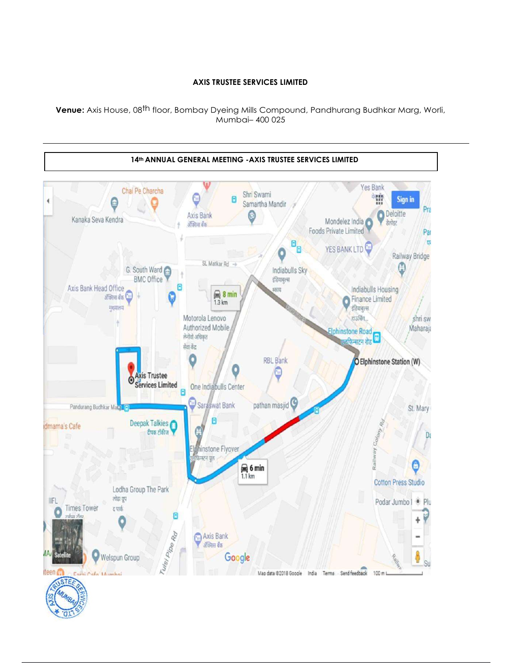# AXIS TRUSTEE SERVICES LIMITED

Venue: Axis House, 08<sup>th</sup> floor, Bombay Dyeing Mills Compound, Pandhurang Budhkar Marg, Worli, Mumbai– 400 025



π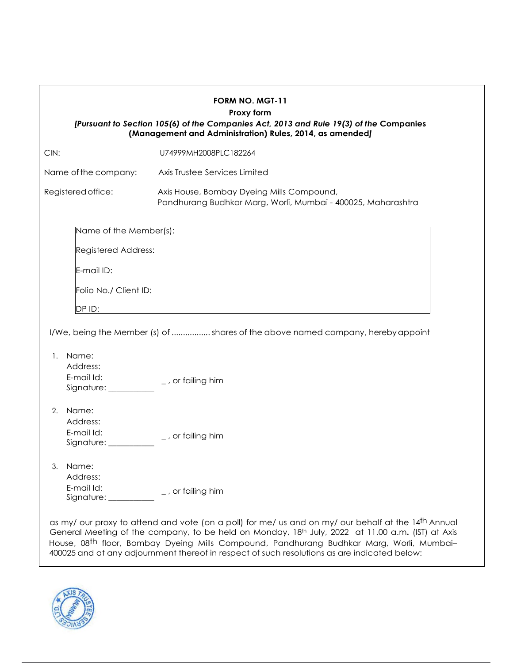|                                                                                    | FORM NO. MGT-11<br>Proxy form<br>[Pursuant to Section 105(6) of the Companies Act, 2013 and Rule 19(3) of the Companies<br>(Management and Administration) Rules, 2014, as amended] |
|------------------------------------------------------------------------------------|-------------------------------------------------------------------------------------------------------------------------------------------------------------------------------------|
| CIN:                                                                               | U74999MH2008PLC182264                                                                                                                                                               |
| Name of the company:                                                               | Axis Trustee Services Limited                                                                                                                                                       |
| Registered office:                                                                 | Axis House, Bombay Dyeing Mills Compound,<br>Pandhurang Budhkar Marg, Worli, Mumbai - 400025, Maharashtra                                                                           |
| Name of the Member(s):                                                             |                                                                                                                                                                                     |
| Registered Address:                                                                |                                                                                                                                                                                     |
| E-mail ID:                                                                         |                                                                                                                                                                                     |
| Folio No./ Client ID:                                                              |                                                                                                                                                                                     |
| DP ID:                                                                             |                                                                                                                                                                                     |
| 1. Name:<br>Address:<br>E-mail Id:<br>Signature: _________<br>2. Name:<br>Address: | I/We, being the Member (s) of  shares of the above named company, hereby appoint<br>_, or failing him                                                                               |
| E-mail Id:<br>Signature: __                                                        | $\_$ , or failing him                                                                                                                                                               |
| 3.<br>Name:<br>Address:<br>E-mail Id:<br>Signature: $\_$                           | $\_$ , or failing him                                                                                                                                                               |

General Meeting of the company, to be held on Monday, 18<sup>th</sup> July, 2022 at 11.00 a.m. (IST) at Axis House, 08<sup>th</sup> floor, Bombay Dyeing Mills Compound, Pandhurang Budhkar Marg, Worli, Mumbai– $\qquad \qquad \mid$ 400025 and at any adjournment thereof in respect of such resolutions as are indicated below:

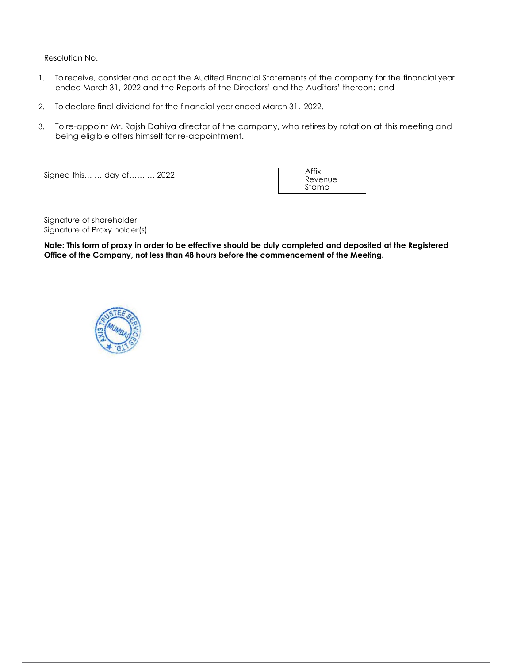Resolution No.

- 1. To receive, consider and adopt the Audited Financial Statements of the company for the financial year ended March 31, 2022 and the Reports of the Directors' and the Auditors' thereon; and
- 2. To declare final dividend for the financial year ended March 31, 2022.
- 3. To re-appoint Mr. Rajsh Dahiya director of the company, who retires by rotation at this meeting and being eligible offers himself for re-appointment.

Signed this… … day of…… … 2022

Affix Revenue Stamp

Signature of shareholder Signature of Proxy holder(s)

Note: This form of proxy in order to be effective should be duly completed and deposited at the Registered Office of the Company, not less than 48 hours before the commencement of the Meeting.